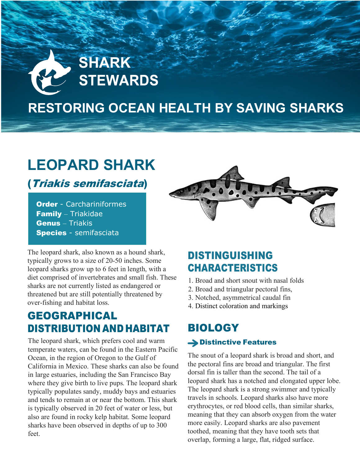# **SHARK STEWARDS**

# **RESTORING OCEAN HEALTH BY SAVING SHARKS**

# **LEOPARD SHARK**

(Triakis semifasciata)

**Order** - Carchariniformes Family – Triakidae Genus – Triakis Species - semifasciata

The leopard shark, also known as a hound shark, typically grows to a size of 20-50 inches. Some leopard sharks grow up to 6 feet in length, with a diet comprised of invertebrates and small fish. These sharks are not currently listed as endangered or threatened but are still potentially threatened by over-fishing and habitat loss.

# GEOGRAPHICAL DISTRIBUTION AND HABITAT

The leopard shark, which prefers cool and warm temperate waters, can be found in the Eastern Pacific Ocean, in the region of Oregon to the Gulf of California in Mexico. These sharks can also be found in large estuaries, including the San Francisco Bay where they give birth to live pups. The leopard shark typically populates sandy, muddy bays and estuaries and tends to remain at or near the bottom. This shark is typically observed in 20 feet of water or less, but also are found in rocky kelp habitat. Some leopard sharks have been observed in depths of up to 300 feet.



# DISTINGUISHING CHARACTERISTICS

- 1. Broad and short snout with nasal folds
- 2. Broad and triangular pectoral fins,
- 3. Notched, asymmetrical caudal fin
- 4. Distinct coloration and markings

## BIOLOGY **→ Distinctive Features**

The snout of a leopard shark is broad and short, and the pectoral fins are broad and triangular. The first dorsal fin is taller than the second. The tail of a leopard shark has a notched and elongated upper lobe. The leopard shark is a strong swimmer and typically travels in schools. Leopard sharks also have more erythrocytes, or red blood cells, than similar sharks, meaning that they can absorb oxygen from the water more easily. Leopard sharks are also pavement toothed, meaning that they have tooth sets that overlap, forming a large, flat, ridged surface.